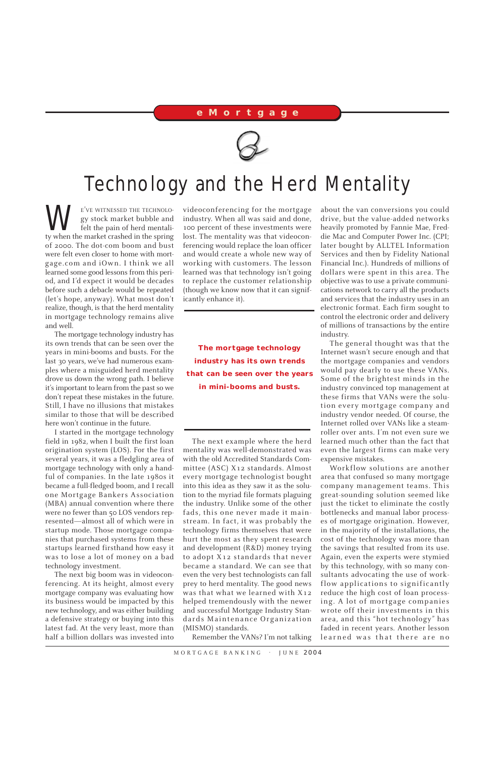E'VE WITNESSED THE TECHNOLO-<br>gy stock market bubble and<br>felt the pain of herd mentali-<br>ty when the market crashed in the spring gy stock market bubble and felt the pain of herd mentality when the market crashed in the spring of 2000. The dot-com boom and bust were felt even closer to home with mortgage.com and iOwn. I think we all learned some good lessons from this period, and I'd expect it would be decades before such a debacle would be repeated (let's hope, anyway). What most don't realize, though, is that the herd mentality in mortgage technology remains alive and well.

The mortgage technology industry has its own trends that can be seen over the years in mini-booms and busts. For the last 30 years, we've had numerous examples where a misguided herd mentality drove us down the wrong path. I believe it's important to learn from the past so we don't repeat these mistakes in the future. Still, I have no illusions that mistakes similar to those that will be described here won't continue in the future.

I started in the mortgage technology field in 1982, when I built the first loan origination system (LOS). For the first several years, it was a fledgling area of mortgage technology with only a handful of companies. In the late 1980s it became a full-fledged boom, and I recall one Mortgage Bankers Association (MBA) annual convention where there were no fewer than 50 LOS vendors represented—almost all of which were in startup mode. Those mortgage companies that purchased systems from these startups learned firsthand how easy it

was to lose a lot of money on a bad technology investment.

The next big boom was in videoconferencing. At its height, almost every mortgage company was evaluating how its business would be impacted by this new technology, and was either building a defensive strategy or buying into this latest fad. At the very least, more than half a billion dollars was invested into videoconferencing for the mortgage industry. When all was said and done, 100 percent of these investments were lost. The mentality was that videoconferencing would replace the loan officer and would create a whole new way of working with customers. The lesson learned was that technology isn't going to replace the customer relationship (though we know now that it can significantly enhance it).

The next example where the herd mentality was well-demonstrated was with the old Accredited Standards Committee (ASC) X12 standards. Almost every mortgage technologist bought into this idea as they saw it as the solution to the myriad file formats plaguing the industry. Unlike some of the other fads, this one never made it mainstream. In fact, it was probably the technology firms themselves that were hurt the most as they spent research and development (R&D) money trying to adopt X12 standards that never became a standard. We can see that even the very best technologists can fall prey to herd mentality. The good news was that what we learned with X12 helped tremendously with the newer and successful Mortgage Industry Standards Maintenance Organization (MISMO) standards.

Remember the VANs? I'm not talking

MORTGAGE BANKING · JUNE 2004

about the van conversions you could drive, but the value-added networks heavily promoted by Fannie Mae, Freddie Mac and Computer Power Inc. (CPI; later bought by ALLTEL Information Services and then by Fidelity National Financial Inc.). Hundreds of millions of dollars were spent in this area. The objective was to use a private communications network to carry all the products and services that the industry uses in an electronic format. Each firm sought to control the electronic order and delivery of millions of transactions by the entire industry.

The general thought was that the Internet wasn't secure enough and that the mortgage companies and vendors would pay dearly to use these VANs. Some of the brightest minds in the industry convinced top management at these firms that VANs were the solution every mortgage company and industry vendor needed. Of course, the Internet rolled over VANs like a steamroller over ants. I'm not even sure we learned much other than the fact that even the largest firms can make very expensive mistakes.

Workflow solutions are another area that confused so many mortgage company management teams. This great-sounding solution seemed like just the ticket to eliminate the costly bottlenecks and manual labor processes of mortgage origination. However, in the majority of the installations, the cost of the technology was more than the savings that resulted from its use. Again, even the experts were stymied by this technology, with so many consultants advocating the use of workflow applications to significantly reduce the high cost of loan processing. A lot of mortgage companies wrote off their investments in this area, and this "hot technology" has faded in recent years. Another lesson learned was that there are no

## **eMortgage**



## Technology and the Herd Mentality

**The mortgage technology industry has its own trends that can be seen over the years in mini-booms and busts.**